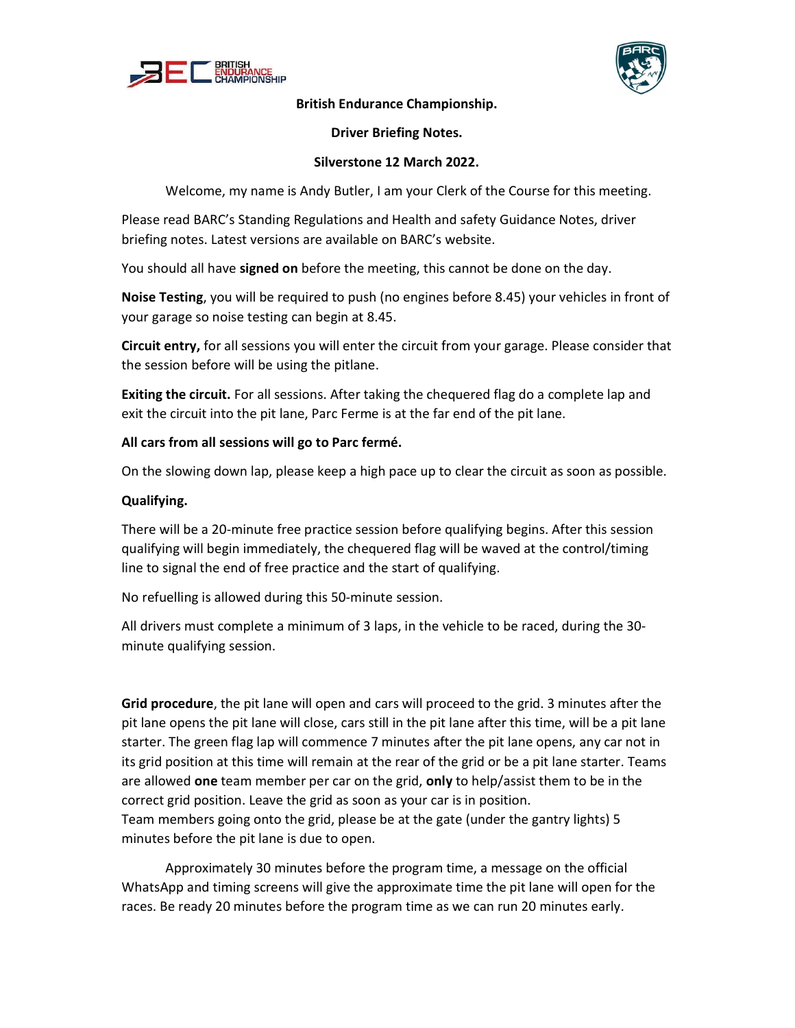



### British Endurance Championship.

## Driver Briefing Notes.

## Silverstone 12 March 2022.

Welcome, my name is Andy Butler, I am your Clerk of the Course for this meeting.

Please read BARC's Standing Regulations and Health and safety Guidance Notes, driver briefing notes. Latest versions are available on BARC's website.

You should all have signed on before the meeting, this cannot be done on the day.

Noise Testing, you will be required to push (no engines before 8.45) your vehicles in front of your garage so noise testing can begin at 8.45.

Circuit entry, for all sessions you will enter the circuit from your garage. Please consider that the session before will be using the pitlane.

Exiting the circuit. For all sessions. After taking the chequered flag do a complete lap and exit the circuit into the pit lane, Parc Ferme is at the far end of the pit lane.

## All cars from all sessions will go to Parc fermé.

On the slowing down lap, please keep a high pace up to clear the circuit as soon as possible.

## Qualifying.

There will be a 20-minute free practice session before qualifying begins. After this session qualifying will begin immediately, the chequered flag will be waved at the control/timing line to signal the end of free practice and the start of qualifying.

No refuelling is allowed during this 50-minute session.

All drivers must complete a minimum of 3 laps, in the vehicle to be raced, during the 30 minute qualifying session.

Grid procedure, the pit lane will open and cars will proceed to the grid. 3 minutes after the pit lane opens the pit lane will close, cars still in the pit lane after this time, will be a pit lane starter. The green flag lap will commence 7 minutes after the pit lane opens, any car not in its grid position at this time will remain at the rear of the grid or be a pit lane starter. Teams are allowed one team member per car on the grid, only to help/assist them to be in the correct grid position. Leave the grid as soon as your car is in position. Team members going onto the grid, please be at the gate (under the gantry lights) 5 minutes before the pit lane is due to open.

 Approximately 30 minutes before the program time, a message on the official WhatsApp and timing screens will give the approximate time the pit lane will open for the races. Be ready 20 minutes before the program time as we can run 20 minutes early.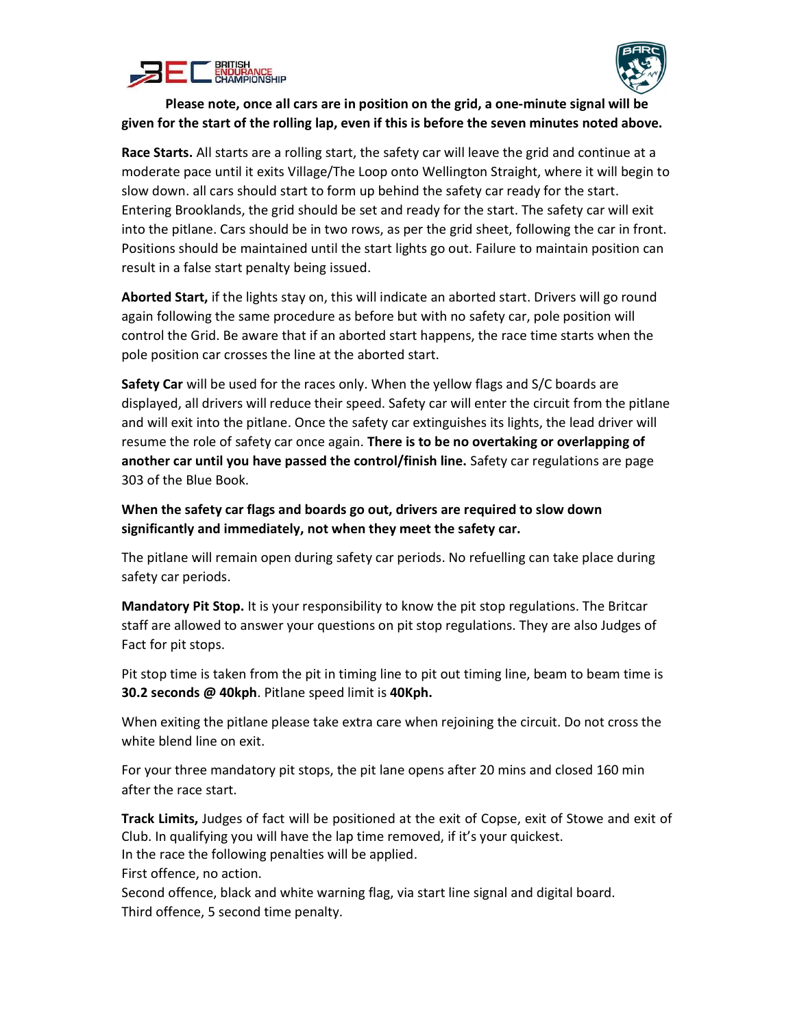



# Please note, once all cars are in position on the grid, a one-minute signal will be given for the start of the rolling lap, even if this is before the seven minutes noted above.

Race Starts. All starts are a rolling start, the safety car will leave the grid and continue at a moderate pace until it exits Village/The Loop onto Wellington Straight, where it will begin to slow down. all cars should start to form up behind the safety car ready for the start. Entering Brooklands, the grid should be set and ready for the start. The safety car will exit into the pitlane. Cars should be in two rows, as per the grid sheet, following the car in front. Positions should be maintained until the start lights go out. Failure to maintain position can result in a false start penalty being issued.

Aborted Start, if the lights stay on, this will indicate an aborted start. Drivers will go round again following the same procedure as before but with no safety car, pole position will control the Grid. Be aware that if an aborted start happens, the race time starts when the pole position car crosses the line at the aborted start.

Safety Car will be used for the races only. When the yellow flags and S/C boards are displayed, all drivers will reduce their speed. Safety car will enter the circuit from the pitlane and will exit into the pitlane. Once the safety car extinguishes its lights, the lead driver will resume the role of safety car once again. There is to be no overtaking or overlapping of another car until you have passed the control/finish line. Safety car regulations are page 303 of the Blue Book.

When the safety car flags and boards go out, drivers are required to slow down significantly and immediately, not when they meet the safety car.

The pitlane will remain open during safety car periods. No refuelling can take place during safety car periods.

Mandatory Pit Stop. It is your responsibility to know the pit stop regulations. The Britcar staff are allowed to answer your questions on pit stop regulations. They are also Judges of Fact for pit stops.

Pit stop time is taken from the pit in timing line to pit out timing line, beam to beam time is 30.2 seconds @ 40kph. Pitlane speed limit is 40Kph.

When exiting the pitlane please take extra care when rejoining the circuit. Do not cross the white blend line on exit.

For your three mandatory pit stops, the pit lane opens after 20 mins and closed 160 min after the race start.

Track Limits, Judges of fact will be positioned at the exit of Copse, exit of Stowe and exit of Club. In qualifying you will have the lap time removed, if it's your quickest. In the race the following penalties will be applied.

First offence, no action.

Second offence, black and white warning flag, via start line signal and digital board. Third offence, 5 second time penalty.